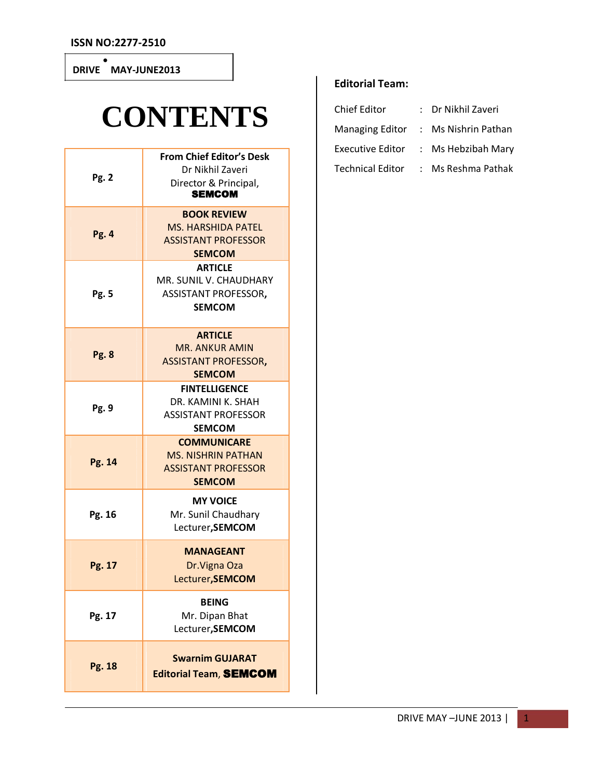#### **DRIVE**   $\bullet$ **MAY-JUNE2013**

# **CONTENTS**

| Pg. 2        | <b>From Chief Editor's Desk</b><br>Dr Nikhil Zaveri<br>Director & Principal,<br><b>SEMCOM</b>  |  |
|--------------|------------------------------------------------------------------------------------------------|--|
| <b>Pg. 4</b> | <b>BOOK REVIEW</b><br><b>MS. HARSHIDA PATEL</b><br><b>ASSISTANT PROFESSOR</b><br><b>SEMCOM</b> |  |
| Pg. 5        | <b>ARTICLE</b><br>MR. SUNIL V. CHAUDHARY<br><b>ASSISTANT PROFESSOR,</b><br><b>SEMCOM</b>       |  |
| <b>Pg. 8</b> | <b>ARTICLE</b><br><b>MR. ANKUR AMIN</b><br><b>ASSISTANT PROFESSOR,</b><br><b>SEMCOM</b>        |  |
| Pg. 9        | <b>FINTELLIGENCE</b><br>DR. KAMINI K. SHAH<br><b>ASSISTANT PROFESSOR</b><br><b>SEMCOM</b>      |  |
| Pg. 14       | <b>COMMUNICARE</b><br><b>MS. NISHRIN PATHAN</b><br><b>ASSISTANT PROFESSOR</b><br><b>SEMCOM</b> |  |
| Pg. 16       | <b>MY VOICE</b><br>Mr. Sunil Chaudhary<br>Lecturer, SEMCOM                                     |  |
| Pg. 17       | <b>MANAGEANT</b><br>Dr. Vigna Oza<br>Lecturer, SEMCOM                                          |  |
| Pg. 17       | <b>BEING</b><br>Mr. Dipan Bhat<br>Lecturer, SEMCOM                                             |  |
| Pg. 18       | <b>Swarnim GUJARAT</b><br><b>Editorial Team, SEMCOM</b>                                        |  |

#### **Editorial Team:**

| <b>Chief Editor</b>     | Dr Nikhil Zaveri    |
|-------------------------|---------------------|
| <b>Managing Editor</b>  | : Ms Nishrin Pathan |
| <b>Executive Editor</b> | Ms Hebzibah Mary    |
| <b>Technical Editor</b> | Ms Reshma Pathak    |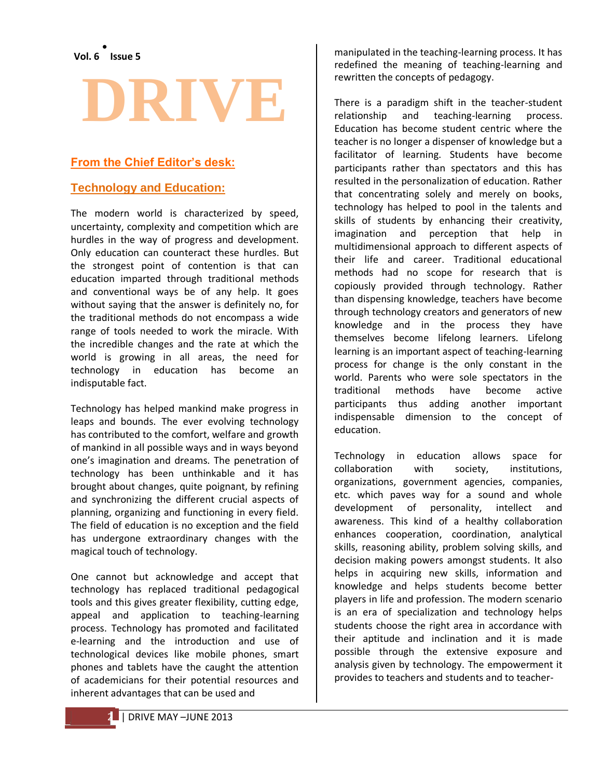# **DRIVE**

#### **From the Chief Editor's desk:**

#### **Technology and Education:**

The modern world is characterized by speed, uncertainty, complexity and competition which are hurdles in the way of progress and development. Only education can counteract these hurdles. But the strongest point of contention is that can education imparted through traditional methods and conventional ways be of any help. It goes without saying that the answer is definitely no, for the traditional methods do not encompass a wide range of tools needed to work the miracle. With the incredible changes and the rate at which the world is growing in all areas, the need for technology in education has become an indisputable fact.

Technology has helped mankind make progress in leaps and bounds. The ever evolving technology has contributed to the comfort, welfare and growth of mankind in all possible ways and in ways beyond one's imagination and dreams. The penetration of technology has been unthinkable and it has brought about changes, quite poignant, by refining and synchronizing the different crucial aspects of planning, organizing and functioning in every field. The field of education is no exception and the field has undergone extraordinary changes with the magical touch of technology.

One cannot but acknowledge and accept that technology has replaced traditional pedagogical tools and this gives greater flexibility, cutting edge, appeal and application to teaching-learning process. Technology has promoted and facilitated e-learning and the introduction and use of technological devices like mobile phones, smart phones and tablets have the caught the attention of academicians for their potential resources and inherent advantages that can be used and

manipulated in the teaching-learning process. It has redefined the meaning of teaching-learning and rewritten the concepts of pedagogy.

There is a paradigm shift in the teacher-student relationship and teaching-learning process. Education has become student centric where the teacher is no longer a dispenser of knowledge but a facilitator of learning. Students have become participants rather than spectators and this has resulted in the personalization of education. Rather that concentrating solely and merely on books, technology has helped to pool in the talents and skills of students by enhancing their creativity, imagination and perception that help in multidimensional approach to different aspects of their life and career. Traditional educational methods had no scope for research that is copiously provided through technology. Rather than dispensing knowledge, teachers have become through technology creators and generators of new knowledge and in the process they have themselves become lifelong learners. Lifelong learning is an important aspect of teaching-learning process for change is the only constant in the world. Parents who were sole spectators in the traditional methods have become active participants thus adding another important indispensable dimension to the concept of education.

Technology in education allows space for collaboration with society, institutions, organizations, government agencies, companies, etc. which paves way for a sound and whole development of personality, intellect and awareness. This kind of a healthy collaboration enhances cooperation, coordination, analytical skills, reasoning ability, problem solving skills, and decision making powers amongst students. It also helps in acquiring new skills, information and knowledge and helps students become better players in life and profession. The modern scenario is an era of specialization and technology helps students choose the right area in accordance with their aptitude and inclination and it is made possible through the extensive exposure and analysis given by technology. The empowerment it provides to teachers and students and to teacher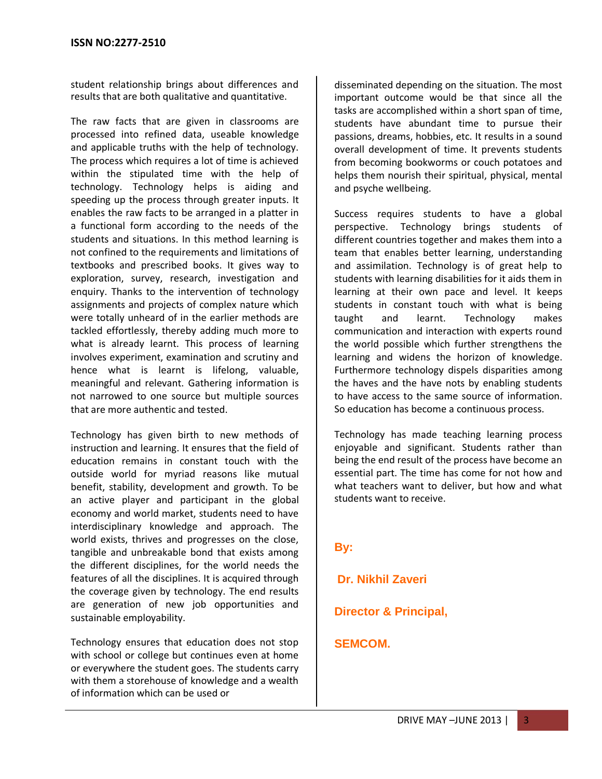student relationship brings about differences and results that are both qualitative and quantitative.

The raw facts that are given in classrooms are processed into refined data, useable knowledge and applicable truths with the help of technology. The process which requires a lot of time is achieved within the stipulated time with the help of technology. Technology helps is aiding and speeding up the process through greater inputs. It enables the raw facts to be arranged in a platter in a functional form according to the needs of the students and situations. In this method learning is not confined to the requirements and limitations of textbooks and prescribed books. It gives way to exploration, survey, research, investigation and enquiry. Thanks to the intervention of technology assignments and projects of complex nature which were totally unheard of in the earlier methods are tackled effortlessly, thereby adding much more to what is already learnt. This process of learning involves experiment, examination and scrutiny and hence what is learnt is lifelong, valuable, meaningful and relevant. Gathering information is not narrowed to one source but multiple sources that are more authentic and tested.

Technology has given birth to new methods of instruction and learning. It ensures that the field of education remains in constant touch with the outside world for myriad reasons like mutual benefit, stability, development and growth. To be an active player and participant in the global economy and world market, students need to have interdisciplinary knowledge and approach. The world exists, thrives and progresses on the close, tangible and unbreakable bond that exists among the different disciplines, for the world needs the features of all the disciplines. It is acquired through the coverage given by technology. The end results are generation of new job opportunities and sustainable employability.

Technology ensures that education does not stop with school or college but continues even at home or everywhere the student goes. The students carry with them a storehouse of knowledge and a wealth of information which can be used or

disseminated depending on the situation. The most important outcome would be that since all the tasks are accomplished within a short span of time, students have abundant time to pursue their passions, dreams, hobbies, etc. It results in a sound overall development of time. It prevents students from becoming bookworms or couch potatoes and helps them nourish their spiritual, physical, mental and psyche wellbeing.

Success requires students to have a global perspective. Technology brings students of different countries together and makes them into a team that enables better learning, understanding and assimilation. Technology is of great help to students with learning disabilities for it aids them in learning at their own pace and level. It keeps students in constant touch with what is being taught and learnt. Technology makes communication and interaction with experts round the world possible which further strengthens the learning and widens the horizon of knowledge. Furthermore technology dispels disparities among the haves and the have nots by enabling students to have access to the same source of information. So education has become a continuous process.

Technology has made teaching learning process enjoyable and significant. Students rather than being the end result of the process have become an essential part. The time has come for not how and what teachers want to deliver, but how and what students want to receive.

#### **By:**

**Dr. Nikhil Zaveri**

**Director & Principal,**

#### **SEMCOM.**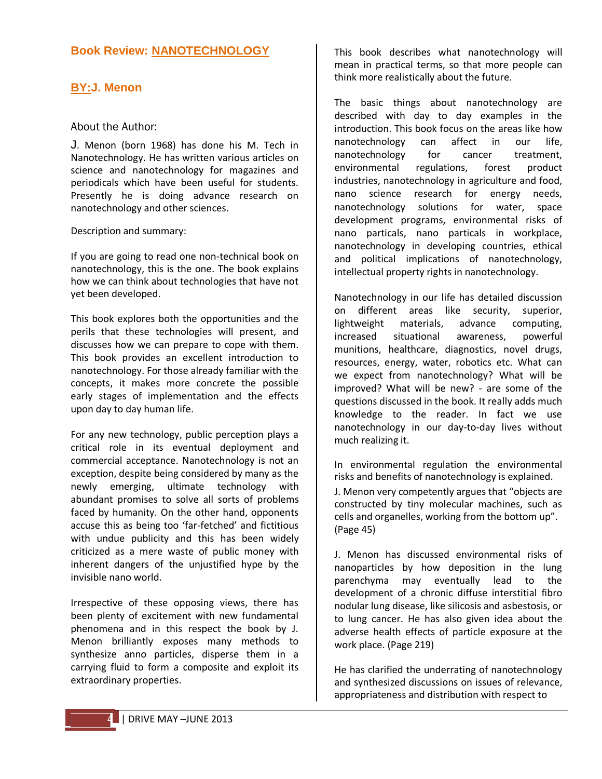#### **Book Review: NANOTECHNOLOGY**

#### **BY:J. Menon**

#### About the Author:

J. Menon (born 1968) has done his M. Tech in Nanotechnology. He has written various articles on science and nanotechnology for magazines and periodicals which have been useful for students. Presently he is doing advance research on nanotechnology and other sciences.

Description and summary:

If you are going to read one non-technical book on nanotechnology, this is the one. The book explains how we can think about technologies that have not yet been developed.

This book explores both the opportunities and the perils that these technologies will present, and discusses how we can prepare to cope with them. This book provides an excellent introduction to nanotechnology. For those already familiar with the concepts, it makes more concrete the possible early stages of implementation and the effects upon day to day human life.

For any new technology, public perception plays a critical role in its eventual deployment and commercial acceptance. Nanotechnology is not an exception, despite being considered by many as the newly emerging, ultimate technology with abundant promises to solve all sorts of problems faced by humanity. On the other hand, opponents accuse this as being too 'far-fetched' and fictitious with undue publicity and this has been widely criticized as a mere waste of public money with inherent dangers of the unjustified hype by the invisible nano world.

Irrespective of these opposing views, there has been plenty of excitement with new fundamental phenomena and in this respect the book by J. Menon brilliantly exposes many methods to synthesize anno particles, disperse them in a carrying fluid to form a composite and exploit its extraordinary properties.

This book describes what nanotechnology will mean in practical terms, so that more people can think more realistically about the future.

The basic things about nanotechnology are described with day to day examples in the introduction. This book focus on the areas like how nanotechnology can affect in our life, nanotechnology for cancer treatment, environmental regulations, forest product industries, nanotechnology in agriculture and food, nano science research for energy needs, nanotechnology solutions for water, space development programs, environmental risks of nano particals, nano particals in workplace, nanotechnology in developing countries, ethical and political implications of nanotechnology, intellectual property rights in nanotechnology.

Nanotechnology in our life has detailed discussion on different areas like security, superior, lightweight materials, advance computing, increased situational awareness, powerful munitions, healthcare, diagnostics, novel drugs, resources, energy, water, robotics etc. What can we expect from nanotechnology? What will be improved? What will be new? - are some of the questions discussed in the book. It really adds much knowledge to the reader. In fact we use nanotechnology in our day-to-day lives without much realizing it.

In environmental regulation the environmental risks and benefits of nanotechnology is explained.

J. Menon very competently argues that "objects are constructed by tiny molecular machines, such as cells and organelles, working from the bottom up". (Page 45)

J. Menon has discussed environmental risks of nanoparticles by how deposition in the lung parenchyma may eventually lead to the development of a chronic diffuse interstitial fibro nodular lung disease, like silicosis and asbestosis, or to lung cancer. He has also given idea about the adverse health effects of particle exposure at the work place. (Page 219)

He has clarified the underrating of nanotechnology and synthesized discussions on issues of relevance, appropriateness and distribution with respect to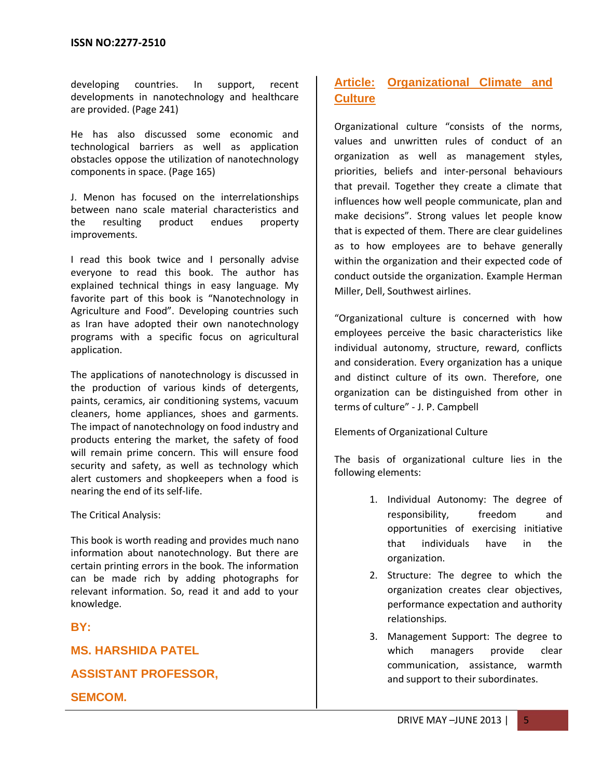developing countries. In support, recent developments in nanotechnology and healthcare are provided. (Page 241)

He has also discussed some economic and technological barriers as well as application obstacles oppose the utilization of nanotechnology components in space. (Page 165)

J. Menon has focused on the interrelationships between nano scale material characteristics and the resulting product endues property improvements.

I read this book twice and I personally advise everyone to read this book. The author has explained technical things in easy language. My favorite part of this book is "Nanotechnology in Agriculture and Food". Developing countries such as Iran have adopted their own nanotechnology programs with a specific focus on agricultural application.

The applications of nanotechnology is discussed in the production of various kinds of detergents, paints, ceramics, air conditioning systems, vacuum cleaners, home appliances, shoes and garments. The impact of nanotechnology on food industry and products entering the market, the safety of food will remain prime concern. This will ensure food security and safety, as well as technology which alert customers and shopkeepers when a food is nearing the end of its self-life.

The Critical Analysis:

This book is worth reading and provides much nano information about nanotechnology. But there are certain printing errors in the book. The information can be made rich by adding photographs for relevant information. So, read it and add to your knowledge.

#### **BY:**

**MS. HARSHIDA PATEL**

**ASSISTANT PROFESSOR,**

**SEMCOM.**

#### **Article: Organizational Climate and Culture**

Organizational culture "consists of the norms, values and unwritten rules of conduct of an organization as well as management styles, priorities, beliefs and inter-personal behaviours that prevail. Together they create a climate that influences how well people communicate, plan and make decisions". Strong values let people know that is expected of them. There are clear guidelines as to how employees are to behave generally within the organization and their expected code of conduct outside the organization. Example Herman Miller, Dell, Southwest airlines.

"Organizational culture is concerned with how employees perceive the basic characteristics like individual autonomy, structure, reward, conflicts and consideration. Every organization has a unique and distinct culture of its own. Therefore, one organization can be distinguished from other in terms of culture" - J. P. Campbell

Elements of Organizational Culture

The basis of organizational culture lies in the following elements:

- 1. Individual Autonomy: The degree of responsibility, freedom and opportunities of exercising initiative that individuals have in the organization.
- 2. Structure: The degree to which the organization creates clear objectives, performance expectation and authority relationships.
- 3. Management Support: The degree to which managers provide clear communication, assistance, warmth and support to their subordinates.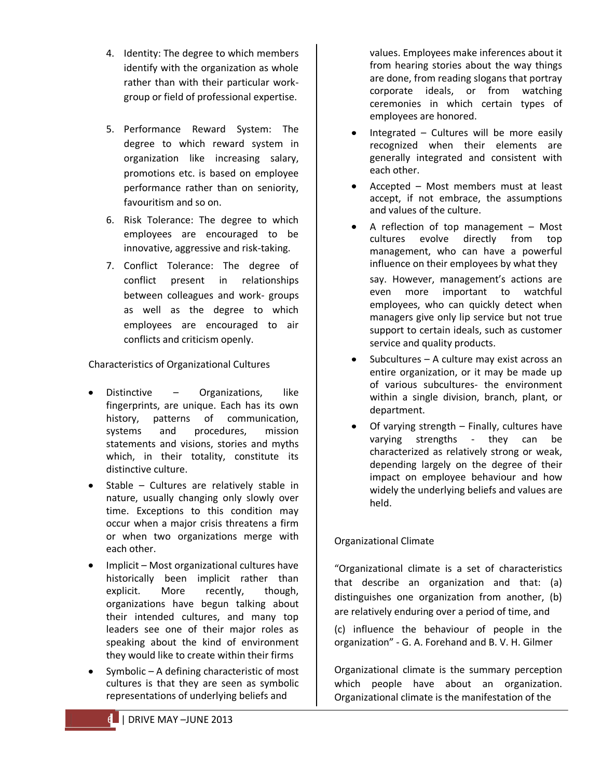- 4. Identity: The degree to which members identify with the organization as whole rather than with their particular workgroup or field of professional expertise.
- 5. Performance Reward System: The degree to which reward system in organization like increasing salary, promotions etc. is based on employee performance rather than on seniority, favouritism and so on.
- 6. Risk Tolerance: The degree to which employees are encouraged to be innovative, aggressive and risk-taking.
- 7. Conflict Tolerance: The degree of conflict present in relationships between colleagues and work- groups as well as the degree to which employees are encouraged to air conflicts and criticism openly.

Characteristics of Organizational Cultures

- Distinctive Organizations, like fingerprints, are unique. Each has its own history, patterns of communication, systems and procedures, mission statements and visions, stories and myths which, in their totality, constitute its distinctive culture.
- Stable Cultures are relatively stable in nature, usually changing only slowly over time. Exceptions to this condition may occur when a major crisis threatens a firm or when two organizations merge with each other.
- Implicit Most organizational cultures have historically been implicit rather than explicit. More recently, though, organizations have begun talking about their intended cultures, and many top leaders see one of their major roles as speaking about the kind of environment they would like to create within their firms
- Symbolic A defining characteristic of most cultures is that they are seen as symbolic representations of underlying beliefs and

values. Employees make inferences about it from hearing stories about the way things are done, from reading slogans that portray corporate ideals, or from watching ceremonies in which certain types of employees are honored.

- Integrated Cultures will be more easily recognized when their elements are generally integrated and consistent with each other.
- Accepted Most members must at least accept, if not embrace, the assumptions and values of the culture.
- A reflection of top management Most cultures evolve directly from top management, who can have a powerful influence on their employees by what they

say. However, management's actions are even more important to watchful employees, who can quickly detect when managers give only lip service but not true support to certain ideals, such as customer service and quality products.

- Subcultures A culture may exist across an entire organization, or it may be made up of various subcultures- the environment within a single division, branch, plant, or department.
- Of varying strength Finally, cultures have varying strengths - they can be characterized as relatively strong or weak, depending largely on the degree of their impact on employee behaviour and how widely the underlying beliefs and values are held.

#### Organizational Climate

"Organizational climate is a set of characteristics that describe an organization and that: (a) distinguishes one organization from another, (b) are relatively enduring over a period of time, and

(c) influence the behaviour of people in the organization" - G. A. Forehand and B. V. H. Gilmer

Organizational climate is the summary perception which people have about an organization. Organizational climate is the manifestation of the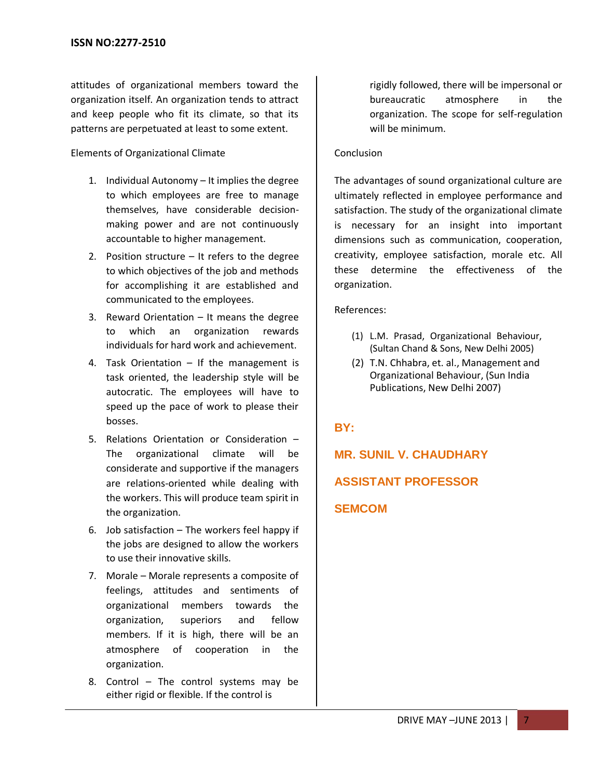attitudes of organizational members toward the organization itself. An organization tends to attract and keep people who fit its climate, so that its patterns are perpetuated at least to some extent.

#### Elements of Organizational Climate

- 1. Individual Autonomy It implies the degree to which employees are free to manage themselves, have considerable decisionmaking power and are not continuously accountable to higher management.
- 2. Position structure It refers to the degree to which objectives of the job and methods for accomplishing it are established and communicated to the employees.
- 3. Reward Orientation It means the degree to which an organization rewards individuals for hard work and achievement.
- 4. Task Orientation If the management is task oriented, the leadership style will be autocratic. The employees will have to speed up the pace of work to please their bosses.
- 5. Relations Orientation or Consideration The organizational climate will be considerate and supportive if the managers are relations-oriented while dealing with the workers. This will produce team spirit in the organization.
- 6. Job satisfaction  $-$  The workers feel happy if the jobs are designed to allow the workers to use their innovative skills.
- 7. Morale Morale represents a composite of feelings, attitudes and sentiments of organizational members towards the organization, superiors and fellow members. If it is high, there will be an atmosphere of cooperation in the organization.
- 8. Control The control systems may be either rigid or flexible. If the control is

rigidly followed, there will be impersonal or bureaucratic atmosphere in the organization. The scope for self-regulation will be minimum.

#### Conclusion

The advantages of sound organizational culture are ultimately reflected in employee performance and satisfaction. The study of the organizational climate is necessary for an insight into important dimensions such as communication, cooperation, creativity, employee satisfaction, morale etc. All these determine the effectiveness of the organization.

#### References:

- (1) L.M. Prasad, Organizational Behaviour, (Sultan Chand & Sons, New Delhi 2005)
- (2) T.N. Chhabra, et. al., Management and Organizational Behaviour, (Sun India Publications, New Delhi 2007)

#### **BY:**

**MR. SUNIL V. CHAUDHARY**

#### **ASSISTANT PROFESSOR**

#### **SEMCOM**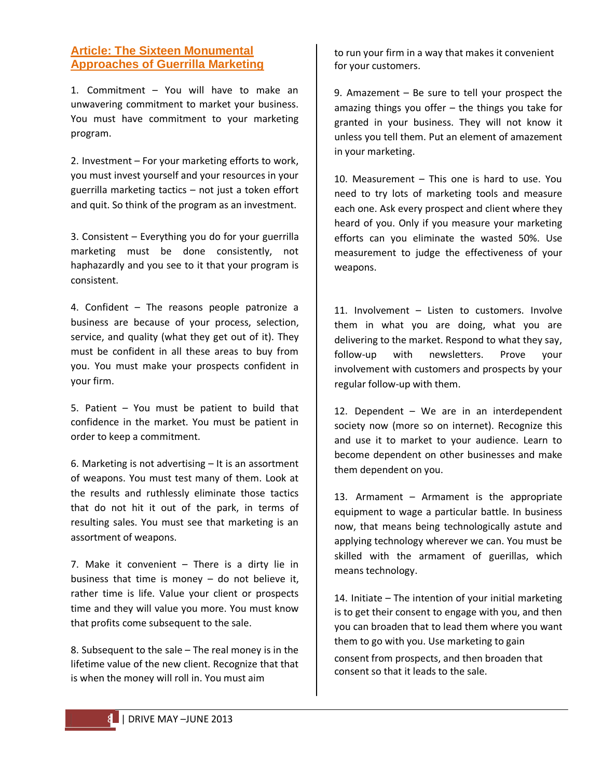#### **Article: The Sixteen Monumental Approaches of Guerrilla Marketing**

1. Commitment – You will have to make an unwavering commitment to market your business. You must have commitment to your marketing program.

2. Investment – For your marketing efforts to work, you must invest yourself and your resources in your guerrilla marketing tactics – not just a token effort and quit. So think of the program as an investment.

3. Consistent – Everything you do for your guerrilla marketing must be done consistently, not haphazardly and you see to it that your program is consistent.

4. Confident – The reasons people patronize a business are because of your process, selection, service, and quality (what they get out of it). They must be confident in all these areas to buy from you. You must make your prospects confident in your firm.

5. Patient – You must be patient to build that confidence in the market. You must be patient in order to keep a commitment.

6. Marketing is not advertising – It is an assortment of weapons. You must test many of them. Look at the results and ruthlessly eliminate those tactics that do not hit it out of the park, in terms of resulting sales. You must see that marketing is an assortment of weapons.

7. Make it convenient – There is a dirty lie in business that time is money  $-$  do not believe it, rather time is life. Value your client or prospects time and they will value you more. You must know that profits come subsequent to the sale.

8. Subsequent to the sale – The real money is in the lifetime value of the new client. Recognize that that is when the money will roll in. You must aim

to run your firm in a way that makes it convenient for your customers.

9. Amazement – Be sure to tell your prospect the amazing things you offer – the things you take for granted in your business. They will not know it unless you tell them. Put an element of amazement in your marketing.

10. Measurement – This one is hard to use. You need to try lots of marketing tools and measure each one. Ask every prospect and client where they heard of you. Only if you measure your marketing efforts can you eliminate the wasted 50%. Use measurement to judge the effectiveness of your weapons.

11. Involvement – Listen to customers. Involve them in what you are doing, what you are delivering to the market. Respond to what they say, follow-up with newsletters. Prove your involvement with customers and prospects by your regular follow-up with them.

12. Dependent – We are in an interdependent society now (more so on internet). Recognize this and use it to market to your audience. Learn to become dependent on other businesses and make them dependent on you.

13. Armament – Armament is the appropriate equipment to wage a particular battle. In business now, that means being technologically astute and applying technology wherever we can. You must be skilled with the armament of guerillas, which means technology.

14. Initiate – The intention of your initial marketing is to get their consent to engage with you, and then you can broaden that to lead them where you want them to go with you. Use marketing to gain

consent from prospects, and then broaden that consent so that it leads to the sale.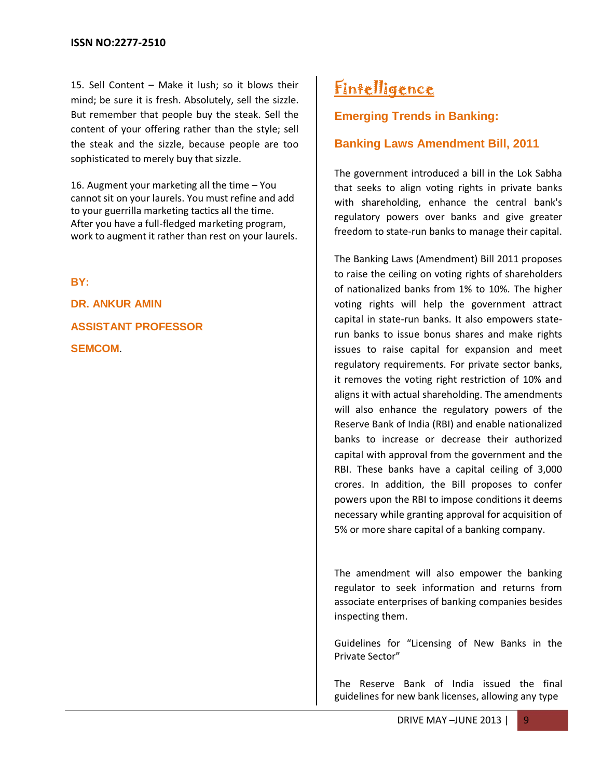15. Sell Content – Make it lush; so it blows their mind; be sure it is fresh. Absolutely, sell the sizzle. But remember that people buy the steak. Sell the content of your offering rather than the style; sell the steak and the sizzle, because people are too sophisticated to merely buy that sizzle.

16. Augment your marketing all the time – You cannot sit on your laurels. You must refine and add to your guerrilla marketing tactics all the time. After you have a full-fledged marketing program, work to augment it rather than rest on your laurels.

**BY:**

**DR. ANKUR AMIN ASSISTANT PROFESSOR SEMCOM**.

## **Fintelligence**

#### **Emerging Trends in Banking:**

#### **Banking Laws Amendment Bill, 2011**

The government introduced a bill in the Lok Sabha that seeks to align voting rights in private banks with shareholding, enhance the central bank's regulatory powers over banks and give greater freedom to state-run banks to manage their capital.

The Banking Laws (Amendment) Bill 2011 proposes to raise the ceiling on voting rights of shareholders of nationalized banks from 1% to 10%. The higher voting rights will help the government attract capital in state-run banks. It also empowers staterun banks to issue bonus shares and make rights issues to raise capital for expansion and meet regulatory requirements. For private sector banks, it removes the voting right restriction of 10% and aligns it with actual shareholding. The amendments will also enhance the regulatory powers of the Reserve Bank of India (RBI) and enable nationalized banks to increase or decrease their authorized capital with approval from the government and the RBI. These banks have a capital ceiling of 3,000 crores. In addition, the Bill proposes to confer powers upon the RBI to impose conditions it deems necessary while granting approval for acquisition of 5% or more share capital of a banking company.

The amendment will also empower the banking regulator to seek information and returns from associate enterprises of banking companies besides inspecting them.

Guidelines for "Licensing of New Banks in the Private Sector"

The Reserve Bank of India issued the final guidelines for new bank licenses, allowing any type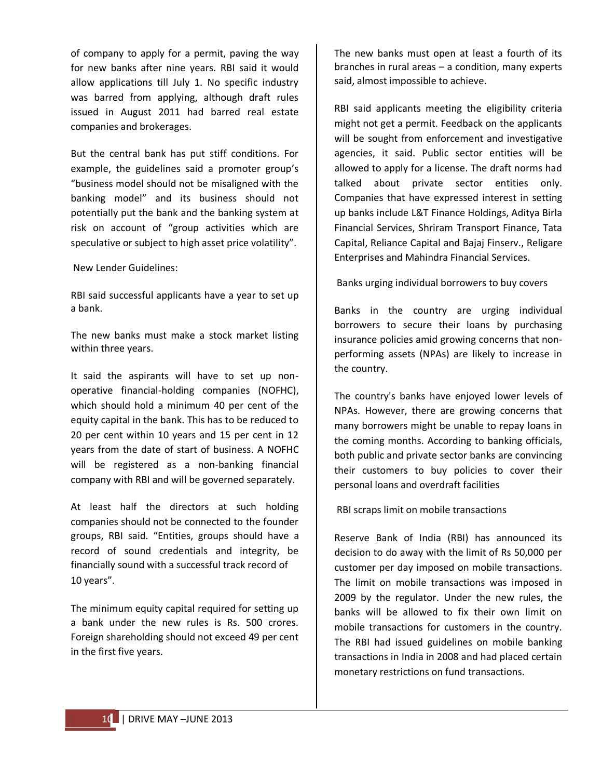of company to apply for a permit, paving the way for new banks after nine years. RBI said it would allow applications till July 1. No specific industry was barred from applying, although draft rules issued in August 2011 had barred real estate companies and brokerages.

But the central bank has put stiff conditions. For example, the guidelines said a promoter group's "business model should not be misaligned with the banking model" and its business should not potentially put the bank and the banking system at risk on account of "group activities which are speculative or subject to high asset price volatility".

[New Lender Guidelines:](http://www.business-standard.com/content/general_pdf/022313_01.pdf)

RBI said successful applicants have a year to set up a bank.

The new banks must make a stock market listing within three years.

It said the aspirants will have to set up nonoperative financial-holding companies (NOFHC), which should hold a minimum 40 per cent of the equity capital in the bank. This has to be reduced to 20 per cent within 10 years and 15 per cent in 12 years from the date of start of business. A NOFHC will be registered as a non-banking financial company with RBI and will be governed separately.

At least half the directors at such holding companies should not be connected to the founder groups, RBI said. "Entities, groups should have a record of sound credentials and integrity, be financially sound with a successful track record of 10 years".

The minimum equity capital required for setting up a bank under the new rules is Rs. 500 crores. Foreign shareholding should not exceed 49 per cent in the first five years.

The new banks must open at least a fourth of its branches in rural areas – a condition, many experts said, almost impossible to achieve.

RBI said applicants meeting the eligibility criteria might not get a permit. Feedback on the applicants will be sought from enforcement and investigative agencies, it said. Public sector entities will be allowed to apply for a license. The draft norms had talked about private sector entities only. Companies that have expressed interest in setting up banks include L&T Finance Holdings, Aditya Birla Financial Services, Shriram Transport Finance, Tata Capital, Reliance Capital and Bajaj Finserv., Religare Enterprises and Mahindra Financial Services.

[Banks urging individual borrowers to buy covers](http://www.topnews.in/banks-urging-individual-borrowers-buy-covers-2356880)

Banks in the country are urging individual borrowers to secure their loans by purchasing insurance policies amid growing concerns that nonperforming assets (NPAs) are likely to increase in the country.

The country's banks have enjoyed lower levels of NPAs. However, there are growing concerns that many borrowers might be unable to repay loans in the coming months. According to banking officials, both public and private sector banks are convincing their customers to buy policies to cover their personal loans and overdraft facilities

[RBI scraps limit on mobile transactions](http://www.topnews.in/rbi-scraps-limit-mobile-transactions-2350109)

Reserve Bank of India (RBI) has announced its decision to do away with the limit of Rs 50,000 per customer per day imposed on mobile transactions. The limit on mobile transactions was imposed in 2009 by the regulator. Under the new rules, the banks will be allowed to fix their own limit on mobile transactions for customers in the country. The RBI had issued guidelines on mobile banking transactions in India in 2008 and had placed certain monetary restrictions on fund transactions.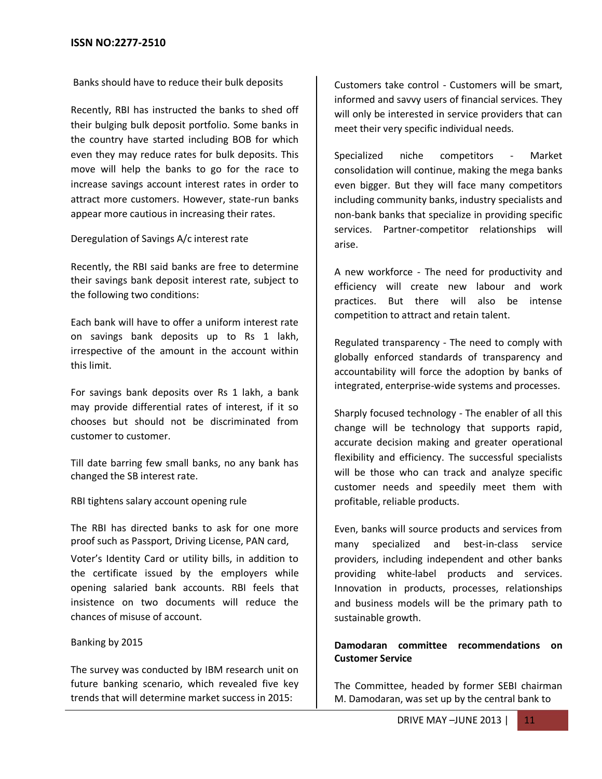[Banks should have to reduce their bulk deposits](http://www.topnews.in/some-banks-may-reduce-rates-bulk-deposits-2349083)

Recently, RBI has instructed the banks to shed off their bulging bulk deposit portfolio. Some banks in the country have started including BOB for which even they may reduce rates for bulk deposits. This move will help the banks to go for the race to increase savings account interest rates in order to attract more customers. However, state-run banks appear more cautious in increasing their rates.

Deregulation of Savings A/c interest rate

Recently, the RBI said banks are free to determine their savings bank deposit interest rate, subject to the following two conditions:

Each bank will have to offer a uniform interest rate on savings bank deposits up to Rs 1 lakh, irrespective of the amount in the account within this limit.

For savings bank deposits over Rs 1 lakh, a bank may provide differential rates of interest, if it so chooses but should not be discriminated from customer to customer.

Till date barring few small banks, no any bank has changed the SB interest rate.

RBI tightens salary account opening rule

The RBI has directed banks to ask for one more proof such as Passport, Driving License, PAN card,

Voter's Identity Card or utility bills, in addition to the certificate issued by the employers while opening salaried bank accounts. RBI feels that insistence on two documents will reduce the chances of misuse of account.

#### Banking by 2015

The survey was conducted by IBM research unit on future banking scenario, which revealed five key trends that will determine market success in 2015:

Customers take control - Customers will be smart, informed and savvy users of financial services. They will only be interested in service providers that can meet their very specific individual needs.

Specialized niche competitors - Market consolidation will continue, making the mega banks even bigger. But they will face many competitors including community banks, industry specialists and non-bank banks that specialize in providing specific services. Partner-competitor relationships will arise.

A new workforce - The need for productivity and efficiency will create new labour and work practices. But there will also be intense competition to attract and retain talent.

Regulated transparency - The need to comply with globally enforced standards of transparency and accountability will force the adoption by banks of integrated, enterprise-wide systems and processes.

Sharply focused technology - The enabler of all this change will be technology that supports rapid, accurate decision making and greater operational flexibility and efficiency. The successful specialists will be those who can track and analyze specific customer needs and speedily meet them with profitable, reliable products.

Even, banks will source products and services from many specialized and best-in-class service providers, including independent and other banks providing white-label products and services. Innovation in products, processes, relationships and business models will be the primary path to sustainable growth.

#### **Damodaran committee recommendations on Customer Service**

The Committee, headed by former SEBI chairman M. Damodaran, was set up by the central bank to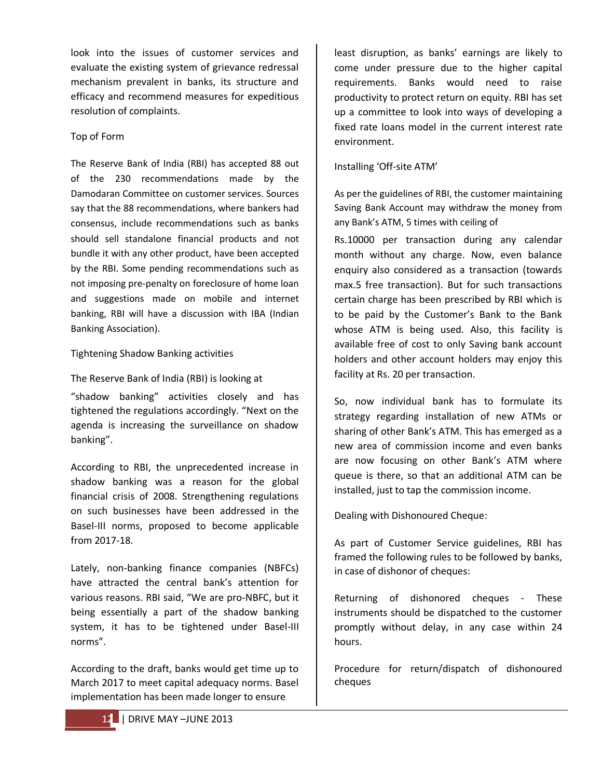look into the issues of customer services and evaluate the existing system of grievance redressal mechanism prevalent in banks, its structure and efficacy and recommend measures for expeditious resolution of complaints.

#### Top of Form

The Reserve Bank of India (RBI) has accepted 88 out of the 230 recommendations made by the Damodaran Committee on customer services. Sources say that the 88 recommendations, where bankers had consensus, include recommendations such as banks should sell standalone financial products and not bundle it with any other product, have been accepted by the RBI. Some pending recommendations such as not imposing pre-penalty on foreclosure of home loan and suggestions made on mobile and internet banking, RBI will have a discussion with IBA (Indian Banking Association).

#### Tightening Shadow Banking activities

The Reserve Bank of India (RBI) is looking at "shadow banking" activities closely and has tightened the regulations accordingly. "Next on the agenda is increasing the surveillance on shadow banking".

According to RBI, the unprecedented increase in shadow banking was a reason for the global financial crisis of 2008. Strengthening regulations on such businesses have been addressed in the Basel-III norms, proposed to become applicable from 2017-18.

Lately, non-banking finance companies (NBFCs) have attracted the central bank's attention for various reasons. RBI said, "We are pro-NBFC, but it being essentially a part of the shadow banking system, it has to be tightened under Basel-III norms".

According to the draft, banks would get time up to March 2017 to meet capital adequacy norms. Basel implementation has been made longer to ensure

least disruption, as banks' earnings are likely to come under pressure due to the higher capital requirements. Banks would need to raise productivity to protect return on equity. RBI has set up a committee to look into ways of developing a fixed rate loans model in the current interest rate environment.

#### Installing 'Off-site ATM'

As per the guidelines of RBI, the customer maintaining Saving Bank Account may withdraw the money from any Bank's ATM, 5 times with ceiling of

Rs.10000 per transaction during any calendar month without any charge. Now, even balance enquiry also considered as a transaction (towards max.5 free transaction). But for such transactions certain charge has been prescribed by RBI which is to be paid by the Customer's Bank to the Bank whose ATM is being used. Also, this facility is available free of cost to only Saving bank account holders and other account holders may enjoy this facility at Rs. 20 per transaction.

So, now individual bank has to formulate its strategy regarding installation of new ATMs or sharing of other Bank's ATM. This has emerged as a new area of commission income and even banks are now focusing on other Bank's ATM where queue is there, so that an additional ATM can be installed, just to tap the commission income.

Dealing with Dishonoured Cheque:

As part of Customer Service guidelines, RBI has framed the following rules to be followed by banks, in case of dishonor of cheques:

Returning of dishonored cheques - These instruments should be dispatched to the customer promptly without delay, in any case within 24 hours.

Procedure for return/dispatch of dishonoured cheques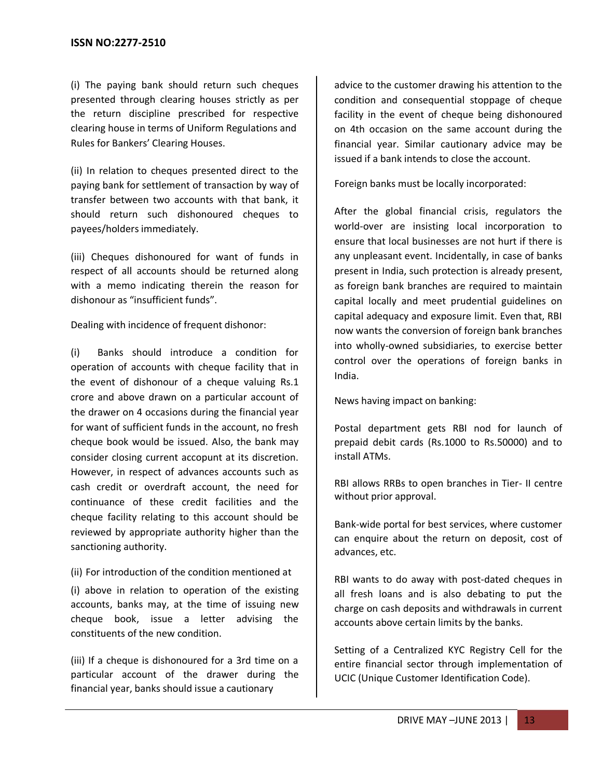(i) The paying bank should return such cheques presented through clearing houses strictly as per the return discipline prescribed for respective clearing house in terms of Uniform Regulations and Rules for Bankers' Clearing Houses.

(ii) In relation to cheques presented direct to the paying bank for settlement of transaction by way of transfer between two accounts with that bank, it should return such dishonoured cheques to payees/holders immediately.

(iii) Cheques dishonoured for want of funds in respect of all accounts should be returned along with a memo indicating therein the reason for dishonour as "insufficient funds".

Dealing with incidence of frequent dishonor:

(i) Banks should introduce a condition for operation of accounts with cheque facility that in the event of dishonour of a cheque valuing Rs.1 crore and above drawn on a particular account of the drawer on 4 occasions during the financial year for want of sufficient funds in the account, no fresh cheque book would be issued. Also, the bank may consider closing current accopunt at its discretion. However, in respect of advances accounts such as cash credit or overdraft account, the need for continuance of these credit facilities and the cheque facility relating to this account should be reviewed by appropriate authority higher than the sanctioning authority.

#### (ii) For introduction of the condition mentioned at

(i) above in relation to operation of the existing accounts, banks may, at the time of issuing new cheque book, issue a letter advising the constituents of the new condition.

(iii) If a cheque is dishonoured for a 3rd time on a particular account of the drawer during the financial year, banks should issue a cautionary

advice to the customer drawing his attention to the condition and consequential stoppage of cheque facility in the event of cheque being dishonoured on 4th occasion on the same account during the financial year. Similar cautionary advice may be issued if a bank intends to close the account.

Foreign banks must be locally incorporated:

After the global financial crisis, regulators the world-over are insisting local incorporation to ensure that local businesses are not hurt if there is any unpleasant event. Incidentally, in case of banks present in India, such protection is already present, as foreign bank branches are required to maintain capital locally and meet prudential guidelines on capital adequacy and exposure limit. Even that, RBI now wants the conversion of foreign bank branches into wholly-owned subsidiaries, to exercise better control over the operations of foreign banks in India.

News having impact on banking:

Postal department gets RBI nod for launch of prepaid debit cards (Rs.1000 to Rs.50000) and to install ATMs.

RBI allows RRBs to open branches in Tier- II centre without prior approval.

Bank-wide portal for best services, where customer can enquire about the return on deposit, cost of advances, etc.

RBI wants to do away with post-dated cheques in all fresh loans and is also debating to put the charge on cash deposits and withdrawals in current accounts above certain limits by the banks.

Setting of a Centralized KYC Registry Cell for the entire financial sector through implementation of UCIC (Unique Customer Identification Code).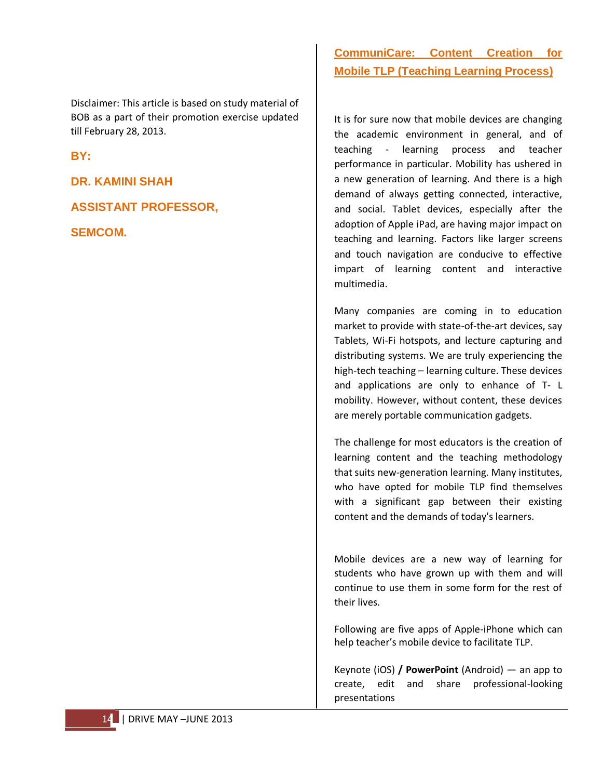Disclaimer: This article is based on study material of BOB as a part of their promotion exercise updated till February 28, 2013.

**BY:**

**DR. KAMINI SHAH**

**ASSISTANT PROFESSOR,**

**SEMCOM.**

#### **CommuniCare: Content Creation for Mobile TLP (Teaching Learning Process)**

It is for sure now that mobile devices are changing the academic environment in general, and of teaching - learning process and teacher performance in particular. Mobility has ushered in a new generation of learning. And there is a high demand of always getting connected, interactive, and social. Tablet devices, especially after the adoption of Apple iPad, are having major impact on teaching and learning. Factors like larger screens and touch navigation are conducive to effective impart of learning content and interactive multimedia.

Many companies are coming in to education market to provide with state-of-the-art devices, say Tablets, Wi-Fi hotspots, and lecture capturing and distributing systems. We are truly experiencing the high-tech teaching – learning culture. These devices and applications are only to enhance of T- L mobility. However, without content, these devices are merely portable communication gadgets.

The challenge for most educators is the creation of learning content and the teaching methodology that suits new-generation learning. Many institutes, who have opted for mobile TLP find themselves with a significant gap between their existing content and the demands of today's learners.

Mobile devices are a new way of learning for students who have grown up with them and will continue to use them in some form for the rest of their lives.

Following are five apps of Apple-iPhone which can help teacher's mobile device to facilitate TLP.

Keynote (iOS) **/ PowerPoint** (Android) — an app to create, edit and share professional-looking presentations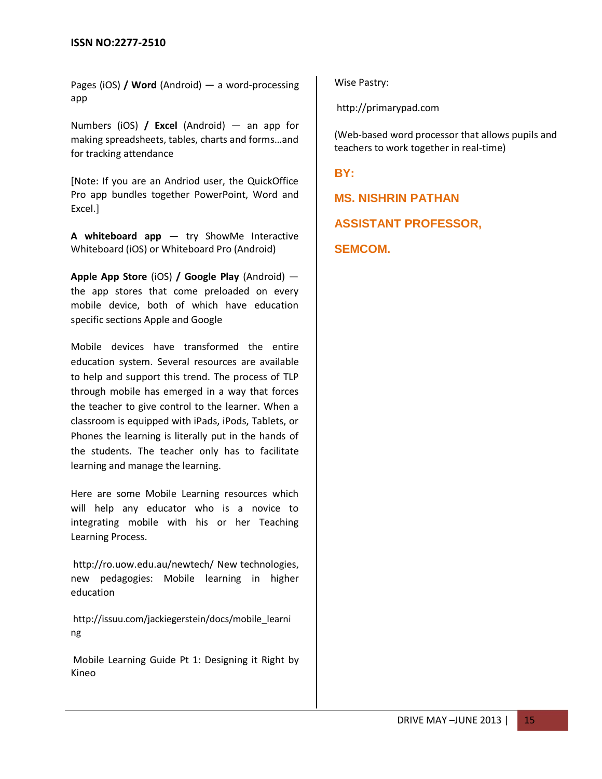Pages (iOS) **/ Word** (Android) — a word-processing app

Numbers (iOS) **/ Excel** (Android) — an app for making spreadsheets, tables, charts and forms…and for tracking attendance

[Note: If you are an Andriod user, the QuickOffice Pro app bundles together PowerPoint, Word and Excel.]

**A whiteboard app** — try ShowMe Interactive Whiteboard (iOS) or Whiteboard Pro (Android)

**Apple App Store** (iOS) **/ Google Play** (Android) the app stores that come preloaded on every mobile device, both of which have education specific sections Apple and Google

Mobile devices have transformed the entire education system. Several resources are available to help and support this trend. The process of TLP through mobile has emerged in a way that forces the teacher to give control to the learner. When a classroom is equipped with iPads, iPods, Tablets, or Phones the learning is literally put in the hands of the students. The teacher only has to facilitate learning and manage the learning.

Here are some Mobile Learning resources which will help any educator who is a novice to integrating mobile with his or her Teaching Learning Process.

<http://ro.uow.edu.au/newtech/> New technologies, new pedagogies: Mobile learning in higher education

[http://issuu.com/jackiegerstein/docs/mobile\\_learni](http://issuu.com/jackiegerstein/docs/mobile_learning)  [ng](http://issuu.com/jackiegerstein/docs/mobile_learning)

[Mobile Learning Guide Pt 1: Designing it Right](http://www.kineo.com/nz/elearning-reports/mobile-learning-guide-part-1-designing-it-right.html) by Kineo

Wise Pastry:

[http://primarypad.com](http://primarypad.com/)

(Web-based word processor that allows pupils and teachers to work together in real-time)

**BY:**

**MS. NISHRIN PATHAN**

**ASSISTANT PROFESSOR,**

**SEMCOM.**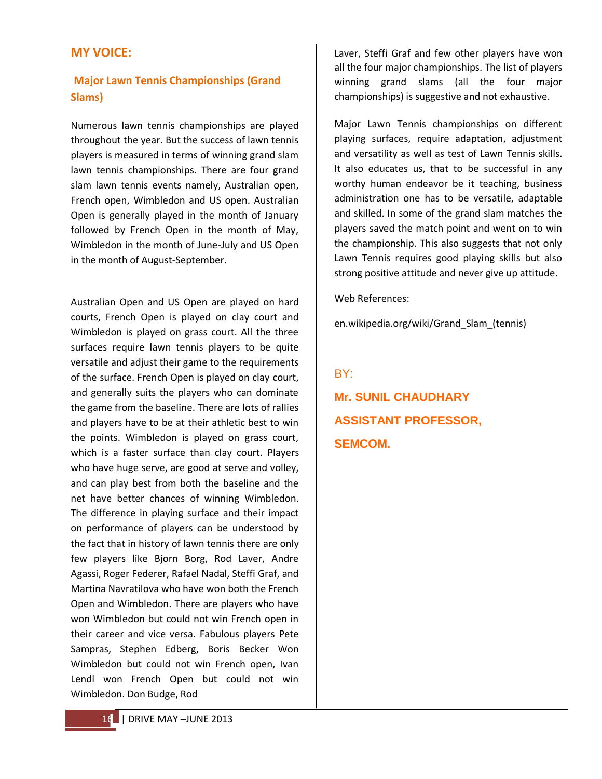#### **MY VOICE:**

#### **Major Lawn Tennis Championships (Grand Slams)**

Numerous lawn tennis championships are played throughout the year. But the success of lawn tennis players is measured in terms of winning grand slam lawn tennis championships. There are four grand slam lawn tennis events namely, Australian open, French open, Wimbledon and US open. Australian Open is generally played in the month of January followed by French Open in the month of May, Wimbledon in the month of June-July and US Open in the month of August-September.

Australian Open and US Open are played on hard courts, French Open is played on clay court and Wimbledon is played on grass court. All the three surfaces require lawn tennis players to be quite versatile and adjust their game to the requirements of the surface. French Open is played on clay court, and generally suits the players who can dominate the game from the baseline. There are lots of rallies and players have to be at their athletic best to win the points. Wimbledon is played on grass court, which is a faster surface than clay court. Players who have huge serve, are good at serve and volley, and can play best from both the baseline and the net have better chances of winning Wimbledon. The difference in playing surface and their impact on performance of players can be understood by the fact that in history of lawn tennis there are only few players like Bjorn Borg, Rod Laver, Andre Agassi, Roger Federer, Rafael Nadal, Steffi Graf, and Martina Navratilova who have won both the French Open and Wimbledon. There are players who have won Wimbledon but could not win French open in their career and vice versa. Fabulous players Pete Sampras, Stephen Edberg, Boris Becker Won Wimbledon but could not win French open, Ivan Lendl won French Open but could not win Wimbledon. Don Budge, Rod

Laver, Steffi Graf and few other players have won all the four major championships. The list of players winning grand slams (all the four major championships) is suggestive and not exhaustive.

Major Lawn Tennis championships on different playing surfaces, require adaptation, adjustment and versatility as well as test of Lawn Tennis skills. It also educates us, that to be successful in any worthy human endeavor be it teaching, business administration one has to be versatile, adaptable and skilled. In some of the grand slam matches the players saved the match point and went on to win the championship. This also suggests that not only Lawn Tennis requires good playing skills but also strong positive attitude and never give up attitude.

Web References:

en.wikipedia.org/wiki/Grand\_Slam\_(tennis)

## BY: **Mr. SUNIL CHAUDHARY ASSISTANT PROFESSOR, SEMCOM.**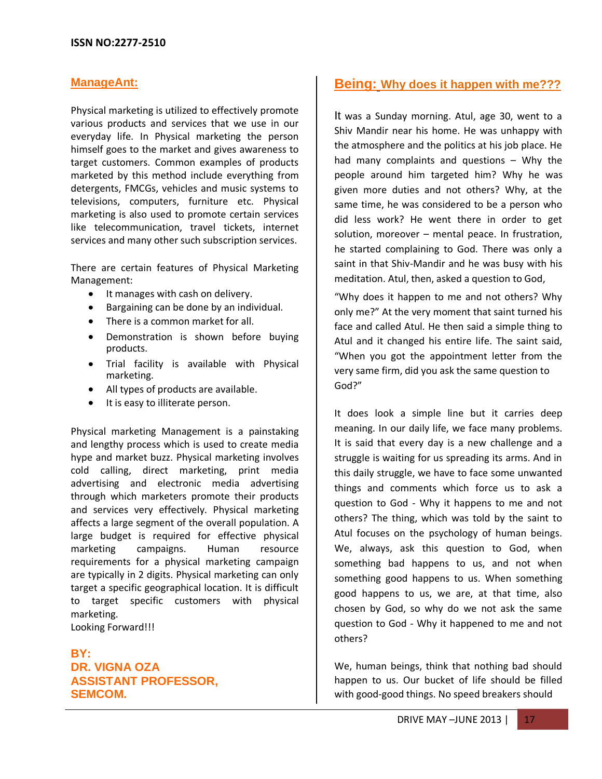#### **ManageAnt:**

Physical marketing is utilized to effectively promote various products and services that we use in our everyday life. In Physical marketing the person himself goes to the market and gives awareness to target customers. Common examples of products marketed by this method include everything from detergents, FMCGs, vehicles and music systems to televisions, computers, furniture etc. Physical marketing is also used to promote certain services like telecommunication, travel tickets, internet services and many other such subscription services.

There are certain features of Physical Marketing Management:

- It manages with cash on delivery.
- Bargaining can be done by an individual.
- There is a common market for all.
- Demonstration is shown before buying  $\bullet$  . products.
- Trial facility is available with Physical marketing.
- All types of products are available.
- It is easy to illiterate person.

Physical marketing Management is a painstaking and lengthy process which is used to create media hype and market buzz. Physical marketing involves cold calling, direct marketing, print media advertising and electronic media advertising through which marketers promote their products and services very effectively. Physical marketing affects a large segment of the overall population. A large budget is required for effective physical marketing campaigns. Human resource requirements for a physical marketing campaign are typically in 2 digits. Physical marketing can only target a specific geographical location. It is difficult to target specific customers with physical marketing. Looking Forward!!!

**BY: DR. VIGNA OZA ASSISTANT PROFESSOR, SEMCOM.**

#### **Being: Why does it happen with me???**

It was a Sunday morning. Atul, age 30, went to a Shiv Mandir near his home. He was unhappy with the atmosphere and the politics at his job place. He had many complaints and questions – Why the people around him targeted him? Why he was given more duties and not others? Why, at the same time, he was considered to be a person who did less work? He went there in order to get solution, moreover – mental peace. In frustration, he started complaining to God. There was only a saint in that Shiv-Mandir and he was busy with his meditation. Atul, then, asked a question to God,

"Why does it happen to me and not others? Why only me?" At the very moment that saint turned his face and called Atul. He then said a simple thing to Atul and it changed his entire life. The saint said, "When you got the appointment letter from the very same firm, did you ask the same question to God?"

It does look a simple line but it carries deep meaning. In our daily life, we face many problems. It is said that every day is a new challenge and a struggle is waiting for us spreading its arms. And in this daily struggle, we have to face some unwanted things and comments which force us to ask a question to God - Why it happens to me and not others? The thing, which was told by the saint to Atul focuses on the psychology of human beings. We, always, ask this question to God, when something bad happens to us, and not when something good happens to us. When something good happens to us, we are, at that time, also chosen by God, so why do we not ask the same question to God - Why it happened to me and not others?

We, human beings, think that nothing bad should happen to us. Our bucket of life should be filled with good-good things. No speed breakers should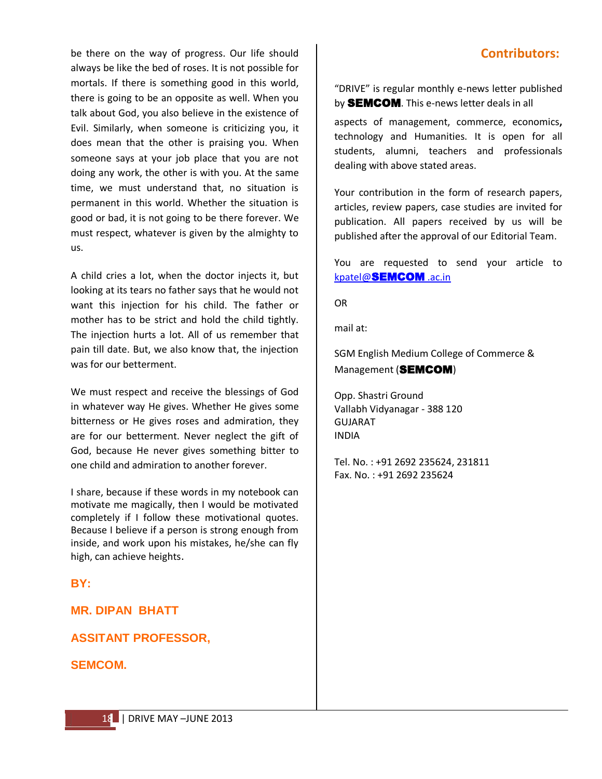be there on the way of progress. Our life should always be like the bed of roses. It is not possible for mortals. If there is something good in this world, there is going to be an opposite as well. When you talk about God, you also believe in the existence of Evil. Similarly, when someone is criticizing you, it does mean that the other is praising you. When someone says at your job place that you are not doing any work, the other is with you. At the same time, we must understand that, no situation is permanent in this world. Whether the situation is good or bad, it is not going to be there forever. We must respect, whatever is given by the almighty to us.

A child cries a lot, when the doctor injects it, but looking at its tears no father says that he would not want this injection for his child. The father or mother has to be strict and hold the child tightly. The injection hurts a lot. All of us remember that pain till date. But, we also know that, the injection was for our betterment.

We must respect and receive the blessings of God in whatever way He gives. Whether He gives some bitterness or He gives roses and admiration, they are for our betterment. Never neglect the gift of God, because He never gives something bitter to one child and admiration to another forever.

I share, because if these words in my notebook can motivate me magically, then I would be motivated completely if I follow these motivational quotes. Because I believe if a person is strong enough from inside, and work upon his mistakes, he/she can fly high, can achieve heights.

#### **BY:**

#### **MR. DIPAN BHATT**

**ASSITANT PROFESSOR,**

#### **SEMCOM.**

#### **Contributors:**

"DRIVE" is regular monthly e-news letter published by **SEMCOM**. This e-news letter deals in all

aspects of management, commerce, economics**,** technology and Humanities. It is open for all students, alumni, teachers and professionals dealing with above stated areas.

Your contribution in the form of research papers, articles, review papers, case studies are invited for publication. All papers received by us will be published after the approval of our Editorial Team.

You are requested to send your article to [kpatel@](mailto:kpatel@semcom.ac.in)SEMCOM [.ac.in](mailto:kpatel@semcom.ac.in)

OR

mail at:

SGM English Medium College of Commerce & Management (SEMCOM)

Opp. Shastri Ground Vallabh Vidyanagar - 388 120 GUJARAT INDIA

Tel. No. : +91 2692 235624, 231811 Fax. No. : +91 2692 235624